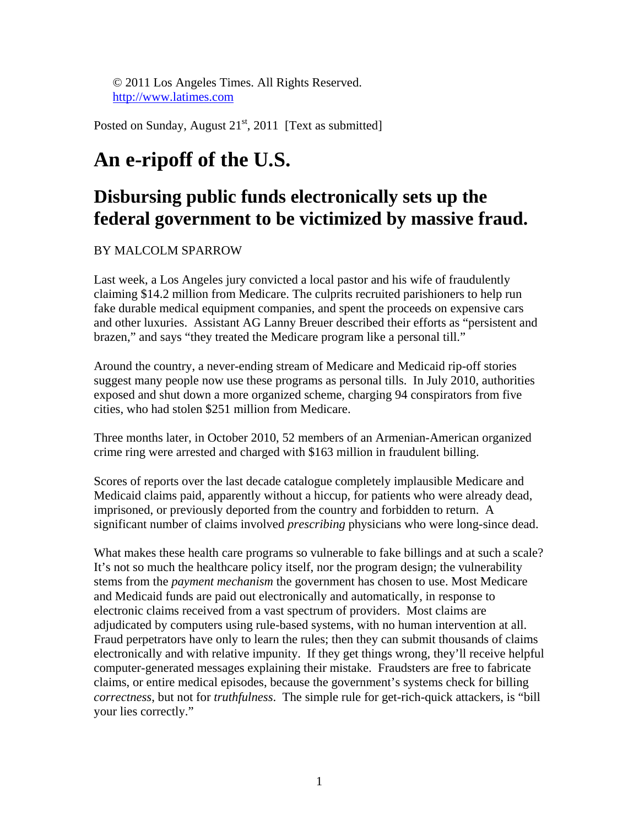© 2011 Los Angeles Times. All Rights Reserved. http://www.latimes.com

Posted on Sunday, August  $21<sup>st</sup>$ , 2011 [Text as submitted]

## **An e-ripoff of the U.S.**

## **Disbursing public funds electronically sets up the federal government to be victimized by massive fraud.**

## BY MALCOLM SPARROW

Last week, a Los Angeles jury convicted a local pastor and his wife of fraudulently claiming \$14.2 million from Medicare. The culprits recruited parishioners to help run fake durable medical equipment companies, and spent the proceeds on expensive cars and other luxuries. Assistant AG Lanny Breuer described their efforts as "persistent and brazen," and says "they treated the Medicare program like a personal till."

Around the country, a never-ending stream of Medicare and Medicaid rip-off stories suggest many people now use these programs as personal tills. In July 2010, authorities exposed and shut down a more organized scheme, charging 94 conspirators from five cities, who had stolen \$251 million from Medicare.

Three months later, in October 2010, 52 members of an Armenian-American organized crime ring were arrested and charged with \$163 million in fraudulent billing.

Scores of reports over the last decade catalogue completely implausible Medicare and Medicaid claims paid, apparently without a hiccup, for patients who were already dead, imprisoned, or previously deported from the country and forbidden to return. A significant number of claims involved *prescribing* physicians who were long-since dead.

What makes these health care programs so vulnerable to fake billings and at such a scale? It's not so much the healthcare policy itself, nor the program design; the vulnerability stems from the *payment mechanism* the government has chosen to use. Most Medicare and Medicaid funds are paid out electronically and automatically, in response to electronic claims received from a vast spectrum of providers. Most claims are adjudicated by computers using rule-based systems, with no human intervention at all. Fraud perpetrators have only to learn the rules; then they can submit thousands of claims electronically and with relative impunity. If they get things wrong, they'll receive helpful computer-generated messages explaining their mistake. Fraudsters are free to fabricate claims, or entire medical episodes, because the government's systems check for billing *correctness*, but not for *truthfulness*. The simple rule for get-rich-quick attackers, is "bill your lies correctly."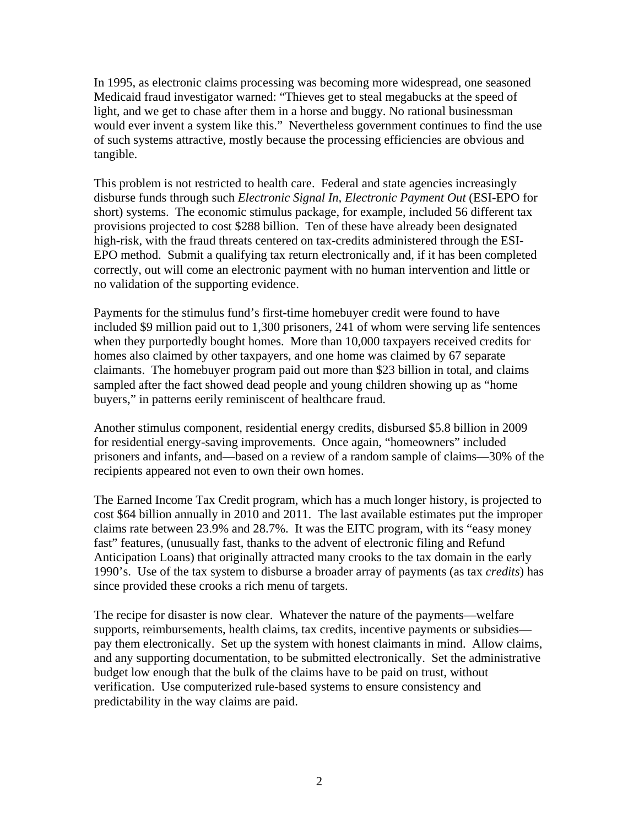In 1995, as electronic claims processing was becoming more widespread, one seasoned Medicaid fraud investigator warned: "Thieves get to steal megabucks at the speed of light, and we get to chase after them in a horse and buggy. No rational businessman would ever invent a system like this." Nevertheless government continues to find the use of such systems attractive, mostly because the processing efficiencies are obvious and tangible.

This problem is not restricted to health care. Federal and state agencies increasingly disburse funds through such *Electronic Signal In, Electronic Payment Out* (ESI-EPO for short) systems. The economic stimulus package, for example, included 56 different tax provisions projected to cost \$288 billion. Ten of these have already been designated high-risk, with the fraud threats centered on tax-credits administered through the ESI-EPO method. Submit a qualifying tax return electronically and, if it has been completed correctly, out will come an electronic payment with no human intervention and little or no validation of the supporting evidence.

Payments for the stimulus fund's first-time homebuyer credit were found to have included \$9 million paid out to 1,300 prisoners, 241 of whom were serving life sentences when they purportedly bought homes. More than 10,000 taxpayers received credits for homes also claimed by other taxpayers, and one home was claimed by 67 separate claimants. The homebuyer program paid out more than \$23 billion in total, and claims sampled after the fact showed dead people and young children showing up as "home buyers," in patterns eerily reminiscent of healthcare fraud.

Another stimulus component, residential energy credits, disbursed \$5.8 billion in 2009 for residential energy-saving improvements. Once again, "homeowners" included prisoners and infants, and—based on a review of a random sample of claims—30% of the recipients appeared not even to own their own homes.

The Earned Income Tax Credit program, which has a much longer history, is projected to cost \$64 billion annually in 2010 and 2011. The last available estimates put the improper claims rate between 23.9% and 28.7%. It was the EITC program, with its "easy money fast" features, (unusually fast, thanks to the advent of electronic filing and Refund Anticipation Loans) that originally attracted many crooks to the tax domain in the early 1990's. Use of the tax system to disburse a broader array of payments (as tax *credits*) has since provided these crooks a rich menu of targets.

The recipe for disaster is now clear. Whatever the nature of the payments—welfare supports, reimbursements, health claims, tax credits, incentive payments or subsidies pay them electronically. Set up the system with honest claimants in mind. Allow claims, and any supporting documentation, to be submitted electronically. Set the administrative budget low enough that the bulk of the claims have to be paid on trust, without verification. Use computerized rule-based systems to ensure consistency and predictability in the way claims are paid.